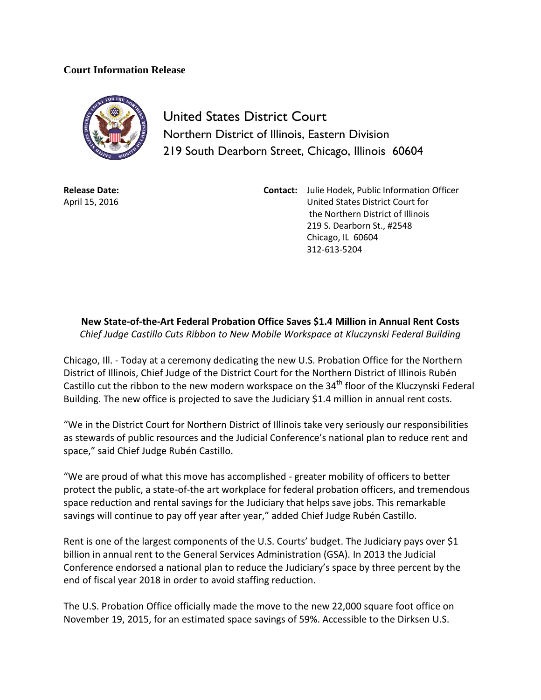## **Court Information Release**



United States District Court Northern District of Illinois, Eastern Division 219 South Dearborn Street, Chicago, Illinois 60604

**Release Date:** April 15, 2016 **Contact:** Julie Hodek, Public Information Officer United States District Court for the Northern District of Illinois 219 S. Dearborn St., #2548 Chicago, IL 60604 312-613-5204

**New State-of-the-Art Federal Probation Office Saves \$1.4 Million in Annual Rent Costs** *Chief Judge Castillo Cuts Ribbon to New Mobile Workspace at Kluczynski Federal Building*

Chicago, Ill. - Today at a ceremony dedicating the new U.S. Probation Office for the Northern District of Illinois, Chief Judge of the District Court for the Northern District of Illinois Rubén Castillo cut the ribbon to the new modern workspace on the 34<sup>th</sup> floor of the Kluczynski Federal Building. The new office is projected to save the Judiciary \$1.4 million in annual rent costs.

"We in the District Court for Northern District of Illinois take very seriously our responsibilities as stewards of public resources and the Judicial Conference's national plan to reduce rent and space," said Chief Judge Rubén Castillo.

"We are proud of what this move has accomplished - greater mobility of officers to better protect the public, a state-of-the art workplace for federal probation officers, and tremendous space reduction and rental savings for the Judiciary that helps save jobs. This remarkable savings will continue to pay off year after year," added Chief Judge Rubén Castillo.

Rent is one of the largest components of the U.S. Courts' budget. The Judiciary pays over \$1 billion in annual rent to the General Services Administration (GSA). In 2013 the Judicial Conference endorsed a national plan to reduce the Judiciary's space by three percent by the end of fiscal year 2018 in order to avoid staffing reduction.

The U.S. Probation Office officially made the move to the new 22,000 square foot office on November 19, 2015, for an estimated space savings of 59%. Accessible to the Dirksen U.S.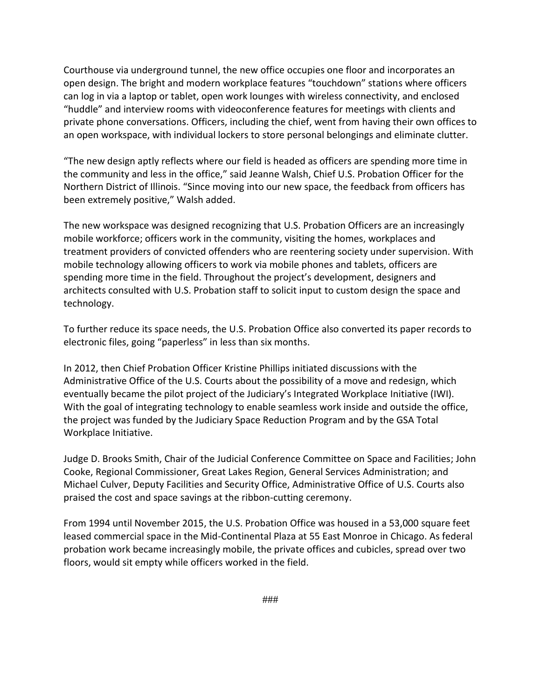Courthouse via underground tunnel, the new office occupies one floor and incorporates an open design. The bright and modern workplace features "touchdown" stations where officers can log in via a laptop or tablet, open work lounges with wireless connectivity, and enclosed "huddle" and interview rooms with videoconference features for meetings with clients and private phone conversations. Officers, including the chief, went from having their own offices to an open workspace, with individual lockers to store personal belongings and eliminate clutter.

"The new design aptly reflects where our field is headed as officers are spending more time in the community and less in the office," said Jeanne Walsh, Chief U.S. Probation Officer for the Northern District of Illinois. "Since moving into our new space, the feedback from officers has been extremely positive," Walsh added.

The new workspace was designed recognizing that U.S. Probation Officers are an increasingly mobile workforce; officers work in the community, visiting the homes, workplaces and treatment providers of convicted offenders who are reentering society under supervision. With mobile technology allowing officers to work via mobile phones and tablets, officers are spending more time in the field. Throughout the project's development, designers and architects consulted with U.S. Probation staff to solicit input to custom design the space and technology.

To further reduce its space needs, the U.S. Probation Office also converted its paper records to electronic files, going "paperless" in less than six months.

In 2012, then Chief Probation Officer Kristine Phillips initiated discussions with the Administrative Office of the U.S. Courts about the possibility of a move and redesign, which eventually became the pilot project of the Judiciary's Integrated Workplace Initiative (IWI). With the goal of integrating technology to enable seamless work inside and outside the office, the project was funded by the Judiciary Space Reduction Program and by the GSA Total Workplace Initiative.

Judge D. Brooks Smith, Chair of the Judicial Conference Committee on Space and Facilities; John Cooke, Regional Commissioner, Great Lakes Region, General Services Administration; and Michael Culver, Deputy Facilities and Security Office, Administrative Office of U.S. Courts also praised the cost and space savings at the ribbon-cutting ceremony.

From 1994 until November 2015, the U.S. Probation Office was housed in a 53,000 square feet leased commercial space in the Mid-Continental Plaza at 55 East Monroe in Chicago. As federal probation work became increasingly mobile, the private offices and cubicles, spread over two floors, would sit empty while officers worked in the field.